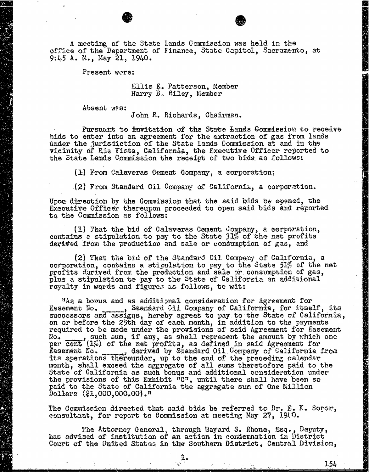A meeting of the State Lands Commission was held in the office of the Department of Finance, State Capitol, Sacramento, at 9:45 A. M., May 21, 1940.

Present wore:

Ellis E. Patterson, Member Harry B. Riley, Member

Absent was:

John R. Richards, Chairman.

Pursuant to invitation of the State Lands Commission to receive bids to enter into an agreement for the extraction of gas from lands under the jurisdiction of the State Lands Commission at and in the vicinity of Ris Vista, California, the Executive Officer reported to the State Lands Commission the receipt of two bids as follows:

(1) From Calaveras Cement Company, a corporation:

(2) From Standard Oil Company of California, a corporation.

Upon direction by the Commission that the said bids be opened, the Executive Officer thereupon proceeded to open said bids and reported to the Commission as follows:

(1) That the bid of Calaveras Cement company, & corporation, contains a stipulation to pay to the State 31% of the net profits derived from the production and sale or consumption of gas, and

(2) That the bid of the Standard Oil Company of California, a corporation, contains a stipulation to pay to the State 51% of the net profits derived from the production and sale or consumption of gas, plus a stipulation to pay to the State of California an additional royalty in words and figures as follows, to wit:

"As a bonus and as additional consideration for Agreement No. Standard Cil Company of California, for successors and assigns, hereby agrees to pay to the State of on or before the  $25th$  day of each month, in addition required to be made under the provisions of said Agreement for Easement No. \_\_\_\_\_, such sum, if any, as shall represent the amount by which one No. such sum, if any, as shall represent the amount by which one<br>per cent (1%) of the net profits, as defined in said Agreement for<br>Easement No. \_\_\_\_\_\_, derived by Standard 011 Company of California from Its operations thereunder, up to the end of the preceding calendar month, shall exceed the aggregate of all sums theretofore paid to the State of California as such bonus and additional consideration under the provisions of this Exhibit "C", until there shall have been so paid to the State of California the aggregate sum of One Million Dollars (\$1, 000, 000.00)."

The Commission directed that said bids be referred to Dr. E. K. Sorer, consultant, for report to Commission at meeting May 27, 1940.

The Attorney General, through Bayard S. Rhone, Esq. , Deputy, has advised of institution of an action in condemnation in District Court of the United States in the Southern District, Central Division,

154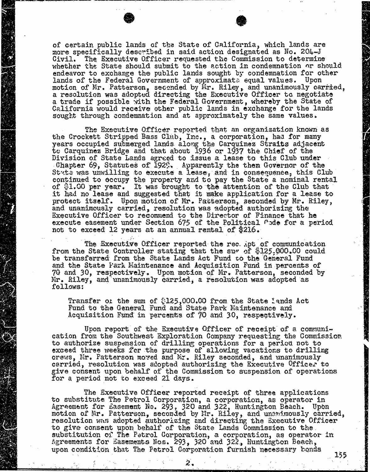of certain public lands of the State of California, which lands are more specifically described in said action designated as No. 204-J Civil. The Executive Officer requested the Commission to determine whether the State should submit to the action in condemnation or should endeavor to exchange the public lands sought by condemnation for other lands of the Federal Government of approximate equal values. Upon motion of Mr. Patterson, seconded by Mr. Riley, and unanimously car a resolution was adopted directing the Executive Office a trade if possible with the Federal Government, whereby the State of California would receive other public lands in exchange for the lands sought through condemnation and at approximately the same values.

The Executive Officer reported that an organization known as the Crockett Stripped Bass Club, Inc., a corporation, had for many years occupied submerged lands along the Carquinez Straits adjacent to Carquinez Bridge and that about 1936 or 1937 the Chief of the Division of State Lands agreed to issue a lease to this Club under . Chapter 69, Statutes of  $192$ . Apparently the then Gove State was unwilling to execute a lease, and in consequence, th continued to occupy the property and to pay the State a nom of  $$1.00$  per year. It was brought to the attention of  $t$ it had no lease and suggested that it make application for a lease to protect itself. Upon motion of Mr. Patterson, seconded by Mr. Riley, and unanimously carried, resolution was adopted authorizing the Executive Officer to recommend to the Director of Finance that he execute easement under Section 675 of the Political Pode for a period not to exceed 12 years at an annual rental of \$216.

The Executive Officer reported the rec. Apt of communication from the State Controller stating that the sugger of \$125,000.00 could be transferred from the State Lands Act Fund to the General Fund and the State Park Maintenance and Acquisition Fund in percents of 70 and 30, respectively. Upon motion of Mr. Patterson, seconded by Mr. Riley, and unanimously carried, a resolution was adopted as follows:

Transfer of the sum of \$[125,000.00](https://125,000.00) from the State Lands Act Fund to the General Fund and State Park Maintenance and Acquisition Fund in percents of 70 and 30, respectively.

Upon report of the Executive Officer of receipt of a communication from the Southwest Exploration Company requesting the Commission to authorize suspension of drilling operations for a period not to exceed three weeks for the purpose of allowing vacations to drilling crews, Mr. Patterson moved and MY. Riley seconded, and unanimously carried, resolution was adopted authorizing the Executive Offices to give consent upon behalf of the Commission to suspension of operations for a period not to exceed 21 days.

The Executive Officer reported receipt of three applications to substitute The Petrol Corporation, a corporation, as operator in Agreement for Easement No. 293, 320 and 322, Huntington Beach. Upon motion of Mr. Patterson, seconded by Mr. Riley, and unanimously carried, resolution was adopted authorizing and directing the Executive Officer to give consent upon behalf of the State Lands Commission substitution of The Patrol Corporation, a corporation, a Agreements for Easements Nos. 293, 320 and 322, Huntington Beach, upon condition that The Petrol Corporation furnish necessary bonds

3.55

2.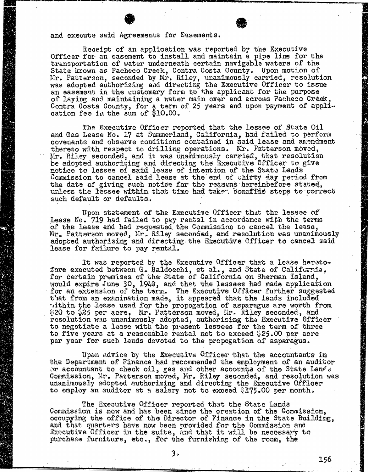and execute said Agreements for Easements.

Receipt of an application was reported by the Executive<br>Officer for an easement to install and maintain a pipe line for the<br>transportation of water underneath certain navigable waters of the transportation of water underneath certain navigable wa State known as Pacheco Creek, Contra Costa County. Upon mo Mr. Patterson, seconded by Mr. Riley, unanimously carried, response to the method of the second to the method of the second to the constant of the method of the second to the method of the second to the method of the secon was adopted authorizing and directing the Executive Officer an easement in the customary form to the applicant for the purpose of the purpose of the purpose of  $p$ of laying and maintaining a water main over and across Pacheco Creek, Contra Costa County, for a term of 25 years and upon payment of app cation fee in the sum of \$10.

The Executive Officer reported that the lessee of State Oil and Gas Lease No. 17 at Summerland, California, had failed to perform covenants and observe conditions contained in said lease and amendment thereto with respect to drilling operations. Mr. Patterson moved, Mr. Riley seconded, and it was unanimously carried, that resolution be adopted authorizing and directing the Executive Officer to give notice to lessee of said lease of intention of the State Lands Commission to cancel said lease at the end of thirty day period from the date of giving such notice for the reasons hereinbefore stated, unless the lessee within that time had take- bonafide steps to correct such default or defaults.

Upon statement of the Executive Officer that the lessee of Lease No. 719 had failed to pay rental in accordance with the terms of the lease and had requested the Commission to cancel the lease, Mr. Patterson moved, Mr. Riley seconded, and resolution was unanimously adopted authorizing and directing the Executive Officer to cancel said lease for failure to pay rental.

It was reported by the Executive Officer that a lease hereto- fore executed between G. Baldocchi, et al., and State of California, for certain premises of the State of California on Sherman Island, would expire June 30, 1940, and that the lessees had made application for an extension of the term. The Executive Officer further suggested that from an examination made, it appeared that the lands included within the lease used for the propogation of asparagus are worth from \$20 to \$25 per acre. Mr. Patterson moved, Hr. Riley seconded, and resolution was unanimously adopted, authorizing the Executive Officer to negotiate a lease with the present lessees for the term of three to five years at a reasonable rental not to exceed \$25.00 per acre per year for such lands devoted to the propogation of asparagus.

Upon advice by the Executive Officer that the accountants in<br>the Department of Finance had recommended the employment of an auditor or accountant to check oil, gas and other accounts of the State Lands Commission, Mr. Patterson moved, Mr. Riley seconded, and resolution was unanimously adopted authorizing and directing the Executive Officer to employ an auditor at a salary not to exceed \$175.00 per month.

The Executive Officer reported that the State Lands Commission is now and has been since the creation of the Commission, occupying the office of the Director of Finance in the State Building, and that quarters have now been provided for the Commission and Executive Officer in the suite, and that it will be necessary to purchase furniture, etc., for the furnishing of the room, the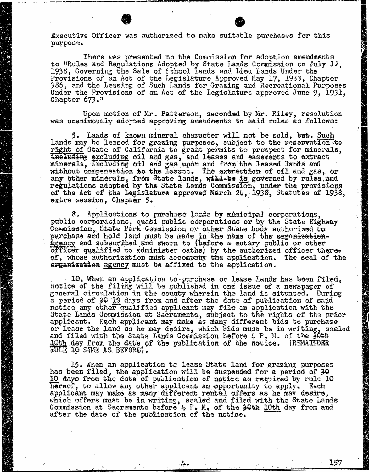Executive Officer was authorized to make suitable purchases for this purpose.

There was presented to the Commission for adoption amendments to "Rules and Regulations Adopted by State Lands Commission on July 12, 1938, Governing the Sale of School Lands and Liou Lands Under the Provisions of an Act of the Legislature Approved May 17, 1933, 386, and the Leasing of Such Lands for Grazing and Recreational Purposes Under the Provisions of an Act of the Legislature approved June 9, 1931, Chapter 673."

Upon motion of Mr. Patterson, seconded by Mr. Riley, resolution was unanimously adorted approving amendments to said rules as follows:

5. Lands of known mineral character will not be sold, bus. Such lands may be leased for grazing purposes, subject to the reservation-te right of State of California to grant permits to prospect for minerals, ineluding excluding oil and gas, and leases and easements to extract minerals, including oil and gas upon and from the leased lands and without compensation to the lesses. The extraction of oil and gas, or any other minerals, from State lands, will-be is governed regulations adopted by the State Lands Commission, under of the Act of the Legislature approved March 24, 1938, Statutes of 1938 extra session, Chapter 5.

8. Applications to purchase lands by municipal corporations, public corporacions, quasi public corporations or by the State Highway Commission, State Park Commission or other State body authorized to purchase and hold land must be made in the name of the organisationagency and subscribed and sworn to (before a notary public or officer qualified to administer oaths) by the authorized officer thereof, whose authorization must accompany the application. The seal of the organisation agency must be affixed to the application.

10. When an application to purchase or lease lands has been filing will be published in one issue of a newspaper of the filing will be published in one issue of a newspaper general circulation in the county wherein the land is a period of 30 13 days from and after the date of publication of said notice any other qualified applicant may file an application with the State Lands Commission at Sacramento, subject to the rights of applicant. Each applicant may make as many different bids or lease the land as he may desire, which bids must be in writing, sealed and filed with the State Lands Commission before 4 P. M. of the 30th 10th day from the date of the publication of the notice. (REMAINDER RULE 10 SAME AS BEFORE) .

15. When an application to lease State land for grazing purposes has been filed, the application will be suspended for a period of 30 10 days from the date of publication of notice as required by rule 10 hereof, to allow any other applicant an opportunity to apply. Each applicant may make as many different rental offers as he may desire, which offers must be in writing, sealed and filed with the State Lands Commission at Sacramento before 4 P. M. of the 30th 10th day from and after the date of the publication of the notice.

157

花の (の)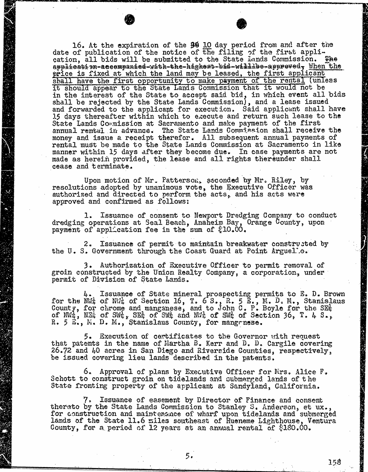16. At the expiration of the 39 10 day period from and after the date of publication of the notice of the filing of the first application, all bids will be submitted to the State bands Commission. The application-accompanied-with-the-higheat-bid-willbe-approved, When the price is fixed at which the land may be leased, the first applicant shall have the first opportunity to make payment of the rental (unless it should appear to the State Lands Commission that it would not be in the interest of the State to accept said bid, in which  $e$ shall be rejected by the State Lands Commission), and a lea and forwarded to the applicant for execution. Said applic 15 days thereafter within which to execute and return such lease State Lands Commission at Sacramento and make payment of the first annual rental in advance. The State Lands Commission shall receive the money and issue a receipt therefor. All subsequent annual payments of rental must be made to the State Lands Commission at Sacramento in like manner within 15 days after they become due. In case payments are not made as herein provided, the lease and all rights thereunder shall cease and terminate.

Upon motion of Mr. Patterson, seconded by Mr. Riley, by resolutions adopted by unanimous vote, the Executive Officer was authorized and directed to perform the acts, and his acts were approved and confirmed as follows:

1. Issuance of consent to Newport Dredging Company to conduct dredging operations at Seal Beach, Anaheim Bay, Orange County, upon payment of application fee in the sum of  $$10.00$ .

2. Issuance of permit to maintain breakwater constructed by the U.S. Government through the Coast Guard at Point Arguel'...

3. Authorization of Executive Officer to permit removal of groin constructed by the Union Realty Company, a corporation, under permit of Division of State Lands.

 $4$ . Issuance of State mineral prospecting permits to E. D.<br>for the NWA of NWA of Section 16, T. 6 S., R. 5 E., M. D. M., Stan County, for chrome and manganese, and to John C. P. Boyle for the  $S_{\text{S}}$ of  $NM_{\frac{1}{2}}$ ,  $N_{\frac{1}{2}}$  of  $SW_{\frac{1}{2}}$ ,  $S_{\frac{1}{2}}$  of  $SW_{\frac{1}{2}}$  and  $N_{\frac{1}{2}}$  of  $S_{\frac{1}{2}}$  of Section 36, T. 4 S. R. 5 E., M. D. M., Stanislaus County, for man

5. Execution of certificates to the Governor with request that patents in the name of Martha B. Kerr and D. D. Cargile covering 26.72 and 40 acres in San Diego and Riverside Counties, respectively, be issued covering lieu lands described in the patents.

6. Approval of plans by Executive Officer for Mrs. Alice F. Schott to construct groin on tidelands and submerged lands of the State fronting property of the applicant at Sandyland, California.

7. Issuance of easement by Director of Finance and consent thereto by the State Lands Commission to Stanley S. Anderson, et ux., for construction and maintenance of wharf upon tidelands and submerged lands of the State 11.6 miles southeast of Hueneme Lighthouse, Ventura County, for a period of 12 years at an annual rental of \$180.00.

158